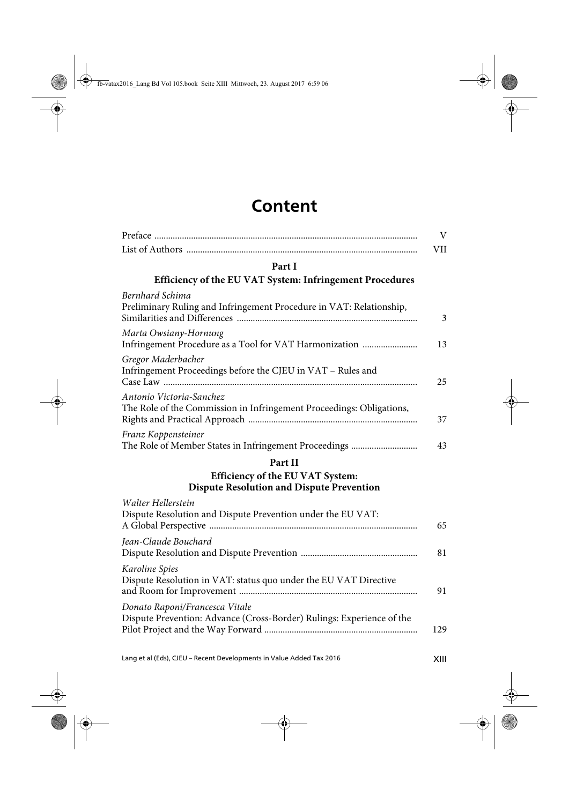## **Content**

| V          |
|------------|
| <b>VII</b> |
|            |
|            |
| 3          |
| 13         |
| 25         |
| 37         |
| 43         |
|            |
|            |
| 65         |
| 81         |
| 91         |
| 129        |
|            |